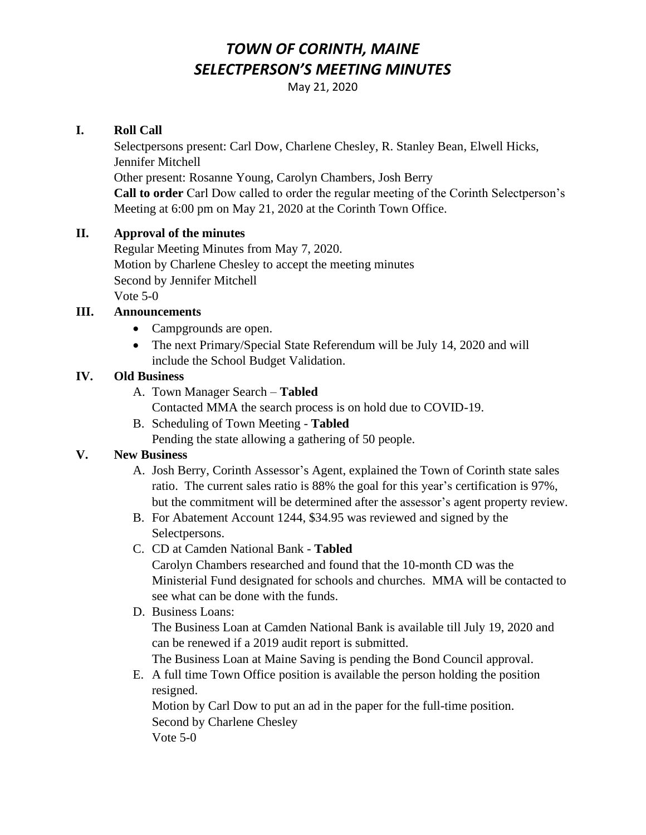# *TOWN OF CORINTH, MAINE SELECTPERSON'S MEETING MINUTES*

May 21, 2020

## **I. Roll Call**

Selectpersons present: Carl Dow, Charlene Chesley, R. Stanley Bean, Elwell Hicks, Jennifer Mitchell Other present: Rosanne Young, Carolyn Chambers, Josh Berry **Call to order** Carl Dow called to order the regular meeting of the Corinth Selectperson's Meeting at 6:00 pm on May 21, 2020 at the Corinth Town Office.

### **II. Approval of the minutes**

Regular Meeting Minutes from May 7, 2020. Motion by Charlene Chesley to accept the meeting minutes Second by Jennifer Mitchell Vote 5-0

## **III. Announcements**

- Campgrounds are open.
- The next Primary/Special State Referendum will be July 14, 2020 and will include the School Budget Validation.

#### **IV. Old Business**

A. Town Manager Search – **Tabled**

Contacted MMA the search process is on hold due to COVID-19.

B. Scheduling of Town Meeting - **Tabled**

Pending the state allowing a gathering of 50 people.

# **V. New Business**

- A. Josh Berry, Corinth Assessor's Agent, explained the Town of Corinth state sales ratio. The current sales ratio is 88% the goal for this year's certification is 97%, but the commitment will be determined after the assessor's agent property review.
- B. For Abatement Account 1244, \$34.95 was reviewed and signed by the Selectpersons.
- C. CD at Camden National Bank **Tabled**

 Carolyn Chambers researched and found that the 10-month CD was the Ministerial Fund designated for schools and churches. MMA will be contacted to see what can be done with the funds.

D. Business Loans:

 The Business Loan at Camden National Bank is available till July 19, 2020 and can be renewed if a 2019 audit report is submitted.

The Business Loan at Maine Saving is pending the Bond Council approval.

E. A full time Town Office position is available the person holding the position resigned.

 Motion by Carl Dow to put an ad in the paper for the full-time position. Second by Charlene Chesley Vote 5-0